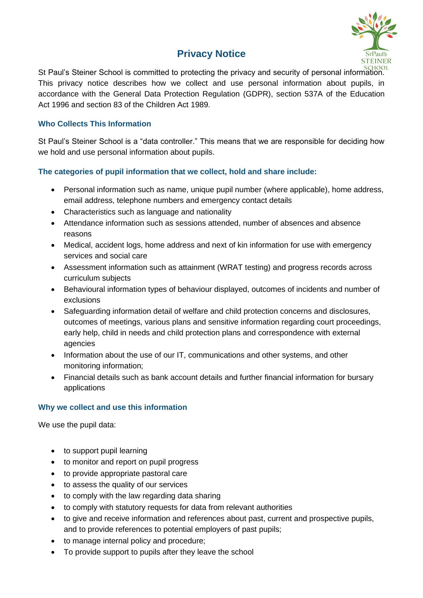# **Privacy Notice**



St Paul's Steiner School is committed to protecting the privacy and security of personal information. This privacy notice describes how we collect and use personal information about pupils, in accordance with the General Data Protection Regulation (GDPR), section 537A of the Education Act 1996 and section 83 of the Children Act 1989.

# **Who Collects This Information**

St Paul's Steiner School is a "data controller." This means that we are responsible for deciding how we hold and use personal information about pupils.

# **The categories of pupil information that we collect, hold and share include:**

- Personal information such as name, unique pupil number (where applicable), home address, email address, telephone numbers and emergency contact details
- Characteristics such as language and nationality
- Attendance information such as sessions attended, number of absences and absence reasons
- Medical, accident logs, home address and next of kin information for use with emergency services and social care
- Assessment information such as attainment (WRAT testing) and progress records across curriculum subjects
- Behavioural information types of behaviour displayed, outcomes of incidents and number of exclusions
- Safeguarding information detail of welfare and child protection concerns and disclosures, outcomes of meetings, various plans and sensitive information regarding court proceedings, early help, child in needs and child protection plans and correspondence with external agencies
- Information about the use of our IT, communications and other systems, and other monitoring information;
- Financial details such as bank account details and further financial information for bursary applications

## **Why we collect and use this information**

We use the pupil data:

- to support pupil learning
- to monitor and report on pupil progress
- to provide appropriate pastoral care
- to assess the quality of our services
- to comply with the law regarding data sharing
- to comply with statutory requests for data from relevant authorities
- to give and receive information and references about past, current and prospective pupils, and to provide references to potential employers of past pupils;
- to manage internal policy and procedure;
- To provide support to pupils after they leave the school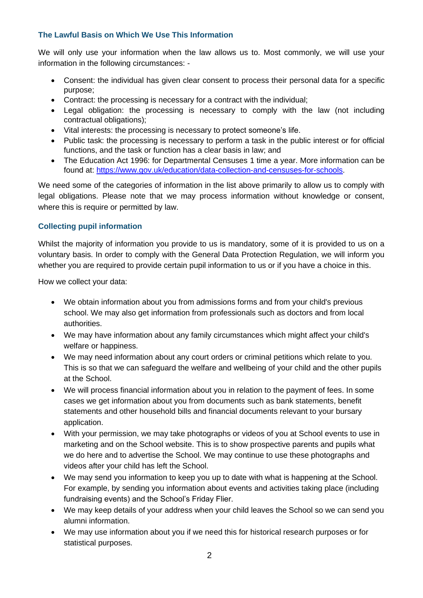# **The Lawful Basis on Which We Use This Information**

We will only use your information when the law allows us to. Most commonly, we will use your information in the following circumstances: -

- Consent: the individual has given clear consent to process their personal data for a specific purpose;
- Contract: the processing is necessary for a contract with the individual;
- Legal obligation: the processing is necessary to comply with the law (not including contractual obligations);
- Vital interests: the processing is necessary to protect someone's life.
- Public task: the processing is necessary to perform a task in the public interest or for official functions, and the task or function has a clear basis in law; and
- The Education Act 1996: for Departmental Censuses 1 time a year. More information can be found at: [https://www.gov.uk/education/data-collection-and-censuses-for-schools.](https://www.gov.uk/education/data-collection-and-censuses-for-schools)

We need some of the categories of information in the list above primarily to allow us to comply with legal obligations. Please note that we may process information without knowledge or consent, where this is require or permitted by law.

# **Collecting pupil information**

Whilst the majority of information you provide to us is mandatory, some of it is provided to us on a voluntary basis. In order to comply with the General Data Protection Regulation, we will inform you whether you are required to provide certain pupil information to us or if you have a choice in this.

How we collect your data:

- We obtain information about you from admissions forms and from your child's previous school. We may also get information from professionals such as doctors and from local authorities.
- We may have information about any family circumstances which might affect your child's welfare or happiness.
- We may need information about any court orders or criminal petitions which relate to you. This is so that we can safeguard the welfare and wellbeing of your child and the other pupils at the School.
- We will process financial information about you in relation to the payment of fees. In some cases we get information about you from documents such as bank statements, benefit statements and other household bills and financial documents relevant to your bursary application.
- With your permission, we may take photographs or videos of you at School events to use in marketing and on the School website. This is to show prospective parents and pupils what we do here and to advertise the School. We may continue to use these photographs and videos after your child has left the School.
- We may send you information to keep you up to date with what is happening at the School. For example, by sending you information about events and activities taking place (including fundraising events) and the School's Friday Flier.
- We may keep details of your address when your child leaves the School so we can send you alumni information.
- We may use information about you if we need this for historical research purposes or for statistical purposes.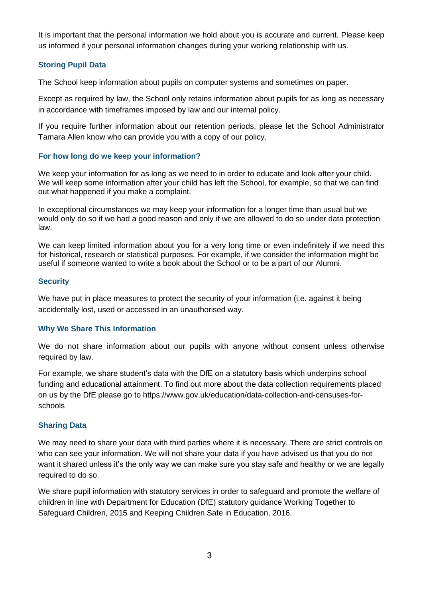It is important that the personal information we hold about you is accurate and current. Please keep us informed if your personal information changes during your working relationship with us.

# **Storing Pupil Data**

The School keep information about pupils on computer systems and sometimes on paper.

Except as required by law, the School only retains information about pupils for as long as necessary in accordance with timeframes imposed by law and our internal policy.

If you require further information about our retention periods, please let the School Administrator Tamara Allen know who can provide you with a copy of our policy.

#### **For how long do we keep your information?**

We keep your information for as long as we need to in order to educate and look after your child. We will keep some information after your child has left the School, for example, so that we can find out what happened if you make a complaint.

In exceptional circumstances we may keep your information for a longer time than usual but we would only do so if we had a good reason and only if we are allowed to do so under data protection law.

We can keep limited information about you for a very long time or even indefinitely if we need this for historical, research or statistical purposes. For example, if we consider the information might be useful if someone wanted to write a book about the School or to be a part of our Alumni.

#### **Security**

We have put in place measures to protect the security of your information (i.e. against it being accidentally lost, used or accessed in an unauthorised way.

#### **Why We Share This Information**

We do not share information about our pupils with anyone without consent unless otherwise required by law.

For example, we share student's data with the DfE on a statutory basis which underpins school funding and educational attainment. To find out more about the data collection requirements placed on us by the DfE please go to https://www.gov.uk/education/data-collection-and-censuses-forschools

## **Sharing Data**

We may need to share your data with third parties where it is necessary. There are strict controls on who can see your information. We will not share your data if you have advised us that you do not want it shared unless it's the only way we can make sure you stay safe and healthy or we are legally required to do so.

We share pupil information with statutory services in order to safeguard and promote the welfare of children in line with Department for Education (DfE) statutory guidance Working Together to Safeguard Children, 2015 and Keeping Children Safe in Education, 2016.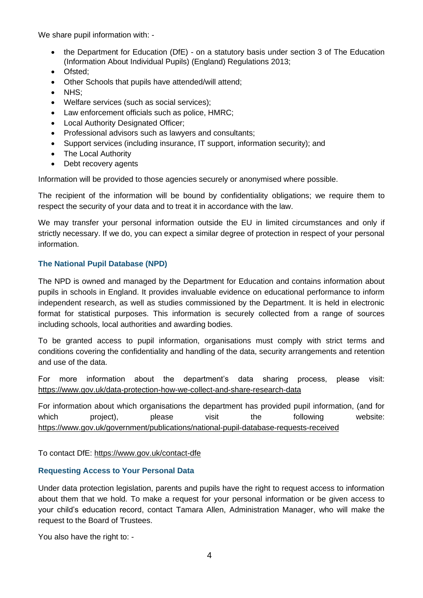We share pupil information with: -

- the Department for Education (DfE) on a statutory basis under section 3 of The Education (Information About Individual Pupils) (England) Regulations 2013;
- Ofsted;
- Other Schools that pupils have attended/will attend;
- NHS;
- Welfare services (such as social services);
- Law enforcement officials such as police, HMRC;
- Local Authority Designated Officer;
- Professional advisors such as lawyers and consultants;
- Support services (including insurance, IT support, information security); and
- The Local Authority
- Debt recovery agents

Information will be provided to those agencies securely or anonymised where possible.

The recipient of the information will be bound by confidentiality obligations; we require them to respect the security of your data and to treat it in accordance with the law.

We may transfer your personal information outside the EU in limited circumstances and only if strictly necessary. If we do, you can expect a similar degree of protection in respect of your personal information.

#### **The National Pupil Database (NPD)**

The NPD is owned and managed by the Department for Education and contains information about pupils in schools in England. It provides invaluable evidence on educational performance to inform independent research, as well as studies commissioned by the Department. It is held in electronic format for statistical purposes. This information is securely collected from a range of sources including schools, local authorities and awarding bodies.

To be granted access to pupil information, organisations must comply with strict terms and conditions covering the confidentiality and handling of the data, security arrangements and retention and use of the data.

For more information about the department's data sharing process, please visit: <https://www.gov.uk/data-protection-how-we-collect-and-share-research-data>

For information about which organisations the department has provided pupil information, (and for which project), please visit the following website: <https://www.gov.uk/government/publications/national-pupil-database-requests-received>

To contact DfE:<https://www.gov.uk/contact-dfe>

#### **Requesting Access to Your Personal Data**

Under data protection legislation, parents and pupils have the right to request access to information about them that we hold. To make a request for your personal information or be given access to your child's education record, contact Tamara Allen, Administration Manager, who will make the request to the Board of Trustees.

You also have the right to: -